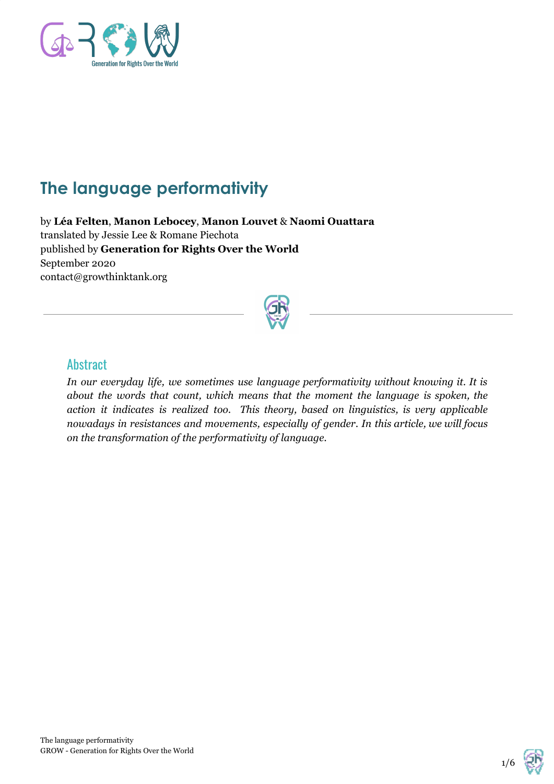

# **The language performativity**

by **Léa Felten**, **Manon Lebocey**, **Manon Louvet** & **Naomi Ouattara** translated by Jessie Lee & Romane Piechota published by **Generation for Rights Over the World** September 2020 contact@growthinktank.org



#### **Abstract**

*In our everyday life, we sometimes use language performativity without knowing it. It is about the words that count, which means that the moment the language is spoken, the action it indicates is realized too. This theory, based on linguistics, is very applicable nowadays in resistances and movements, especially of gender. In this article, we will focus on the transformation of the performativity of language.*

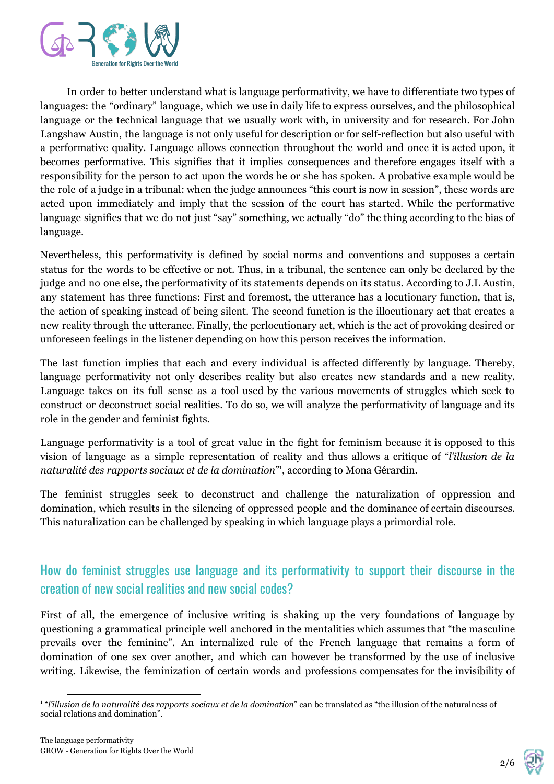

In order to better understand what is language performativity, we have to differentiate two types of languages: the "ordinary" language, which we use in daily life to express ourselves, and the philosophical language or the technical language that we usually work with, in university and for research. For John Langshaw Austin, the language is not only useful for description or for self-reflection but also useful with a performative quality. Language allows connection throughout the world and once it is acted upon, it becomes performative. This signifies that it implies consequences and therefore engages itself with a responsibility for the person to act upon the words he or she has spoken. A probative example would be the role of a judge in a tribunal: when the judge announces "this court is now in session", these words are acted upon immediately and imply that the session of the court has started. While the performative language signifies that we do not just "say" something, we actually "do" the thing according to the bias of language.

Nevertheless, this performativity is defined by social norms and conventions and supposes a certain status for the words to be effective or not. Thus, in a tribunal, the sentence can only be declared by the judge and no one else, the performativity of its statements depends on its status. According to J.L Austin, any statement has three functions: First and foremost, the utterance has a locutionary function, that is, the action of speaking instead of being silent. The second function is the illocutionary act that creates a new reality through the utterance. Finally, the perlocutionary act, which is the act of provoking desired or unforeseen feelings in the listener depending on how this person receives the information.

The last function implies that each and every individual is affected differently by language. Thereby, language performativity not only describes reality but also creates new standards and a new reality. Language takes on its full sense as a tool used by the various movements of struggles which seek to construct or deconstruct social realities. To do so, we will analyze the performativity of language and its role in the gender and feminist fights.

Language performativity is a tool of great value in the fight for feminism because it is opposed to this vision of language as a simple representation of reality and thus allows a critique of "*l'illusion de la naturalité des rapports sociaux et de la domination*" , according to Mona Gérardin. 1

The feminist struggles seek to deconstruct and challenge the naturalization of oppression and domination, which results in the silencing of oppressed people and the dominance of certain discourses. This naturalization can be challenged by speaking in which language plays a primordial role.

### How do feminist struggles use language and its performativity to support their discourse in the creation of new social realities and new social codes?

First of all, the emergence of inclusive writing is shaking up the very foundations of language by questioning a grammatical principle well anchored in the mentalities which assumes that "the masculine prevails over the feminine". An internalized rule of the French language that remains a form of domination of one sex over another, and which can however be transformed by the use of inclusive writing. Likewise, the feminization of certain words and professions compensates for the invisibility of

$$
2/6 \quad \text{or} \quad
$$

<sup>1</sup> "*l'illusion de la naturalité des rapports sociaux et de la domination*" can be translated as "the illusion of the naturalness of social relations and domination".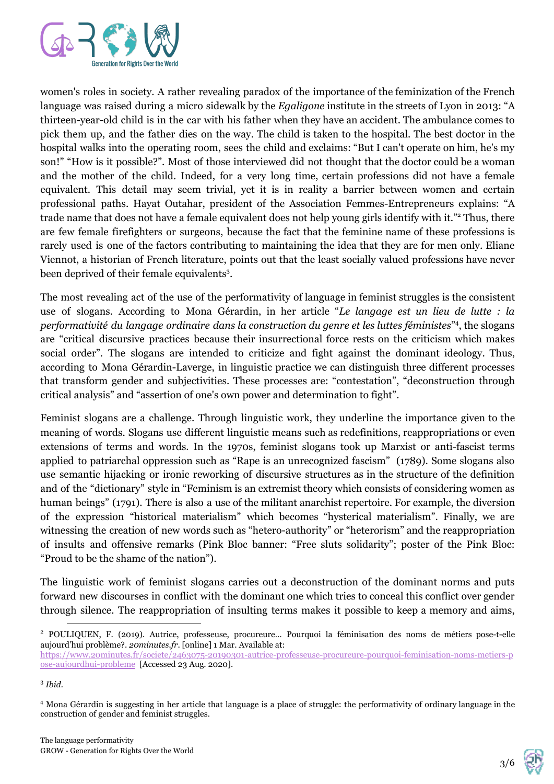

women's roles in society. A rather revealing paradox of the importance of the feminization of the French language was raised during a micro sidewalk by the *Egaligone* institute in the streets of Lyon in 2013: "A thirteen-year-old child is in the car with his father when they have an accident. The ambulance comes to pick them up, and the father dies on the way. The child is taken to the hospital. The best doctor in the hospital walks into the operating room, sees the child and exclaims: "But I can't operate on him, he's my son!" "How is it possible?". Most of those interviewed did not thought that the doctor could be a woman and the mother of the child. Indeed, for a very long time, certain professions did not have a female equivalent. This detail may seem trivial, yet it is in reality a barrier between women and certain professional paths. Hayat Outahar, president of the Association Femmes-Entrepreneurs explains: "A trade name that does not have a female equivalent does not help young girls identify with it."<sup>2</sup> Thus, there are few female firefighters or surgeons, because the fact that the feminine name of these professions is rarely used is one of the factors contributing to maintaining the idea that they are for men only. Eliane Viennot, a historian of French literature, points out that the least socially valued professions have never been deprived of their female equivalents<sup>3</sup>.

The most revealing act of the use of the performativity of language in feminist struggles is the consistent use of slogans. According to Mona Gérardin, in her article "*Le langage est un lieu de lutte : la performativité du langage ordinaire dans la construction du genre et les luttes féministes*" , the slogans 4 are "critical discursive practices because their insurrectional force rests on the criticism which makes social order". The slogans are intended to criticize and fight against the dominant ideology. Thus, according to Mona Gérardin-Laverge, in linguistic practice we can distinguish three different processes that transform gender and subjectivities. These processes are: "contestation", "deconstruction through critical analysis" and "assertion of one's own power and determination to fight".

Feminist slogans are a challenge. Through linguistic work, they underline the importance given to the meaning of words. Slogans use different linguistic means such as redefinitions, reappropriations or even extensions of terms and words. In the 1970s, feminist slogans took up Marxist or anti-fascist terms applied to patriarchal oppression such as "Rape is an unrecognized fascism" (1789). Some slogans also use semantic hijacking or ironic reworking of discursive structures as in the structure of the definition and of the "dictionary" style in "Feminism is an extremist theory which consists of considering women as human beings" (1791). There is also a use of the militant anarchist repertoire. For example, the diversion of the expression "historical materialism" which becomes "hysterical materialism". Finally, we are witnessing the creation of new words such as "hetero-authority" or "heterorism" and the reappropriation of insults and offensive remarks (Pink Bloc banner: "Free sluts solidarity"; poster of the Pink Bloc: "Proud to be the shame of the nation").

The linguistic work of feminist slogans carries out a deconstruction of the dominant norms and puts forward new discourses in conflict with the dominant one which tries to conceal this conflict over gender through silence. The reappropriation of insulting terms makes it possible to keep a memory and aims,



<sup>2</sup> POULIQUEN, F. (2019). Autrice, professeuse, procureure… Pourquoi la féminisation des noms de métiers pose-t-elle aujourd'hui problème?. *20minutes.fr*. [online] 1 Mar. Available at:

[https://www.20minutes.fr/societe/2463075-20190301-autrice-professeuse-procureure-pourquoi-feminisation-noms-metiers-p](https://www.20minutes.fr/societe/2463075-20190301-autrice-professeuse-procureure-pourquoi-feminisation-noms-metiers-pose-aujourdhui-probleme) [ose-aujourdhui-probleme](https://www.20minutes.fr/societe/2463075-20190301-autrice-professeuse-procureure-pourquoi-feminisation-noms-metiers-pose-aujourdhui-probleme) [Accessed 23 Aug. 2020].

<sup>3</sup> *Ibid.*

<sup>4</sup> Mona Gérardin is suggesting in her article that language is a place of struggle: the performativity of ordinary language in the construction of gender and feminist struggles.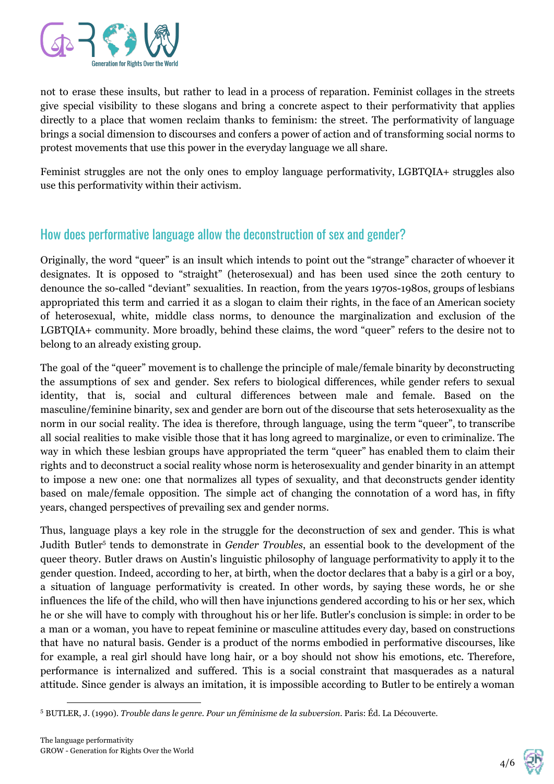

not to erase these insults, but rather to lead in a process of reparation. Feminist collages in the streets give special visibility to these slogans and bring a concrete aspect to their performativity that applies directly to a place that women reclaim thanks to feminism: the street. The performativity of language brings a social dimension to discourses and confers a power of action and of transforming social norms to protest movements that use this power in the everyday language we all share.

Feminist struggles are not the only ones to employ language performativity, LGBTQIA+ struggles also use this performativity within their activism.

## How does performative language allow the deconstruction of sex and gender?

Originally, the word "queer" is an insult which intends to point out the "strange" character of whoever it designates. It is opposed to "straight" (heterosexual) and has been used since the 20th century to denounce the so-called "deviant" sexualities. In reaction, from the years 1970s-1980s, groups of lesbians appropriated this term and carried it as a slogan to claim their rights, in the face of an American society of heterosexual, white, middle class norms, to denounce the marginalization and exclusion of the LGBTQIA+ community. More broadly, behind these claims, the word "queer" refers to the desire not to belong to an already existing group.

The goal of the "queer" movement is to challenge the principle of male/female binarity by deconstructing the assumptions of sex and gender. Sex refers to biological differences, while gender refers to sexual identity, that is, social and cultural differences between male and female. Based on the masculine/feminine binarity, sex and gender are born out of the discourse that sets heterosexuality as the norm in our social reality. The idea is therefore, through language, using the term "queer", to transcribe all social realities to make visible those that it has long agreed to marginalize, or even to criminalize. The way in which these lesbian groups have appropriated the term "queer" has enabled them to claim their rights and to deconstruct a social reality whose norm is heterosexuality and gender binarity in an attempt to impose a new one: one that normalizes all types of sexuality, and that deconstructs gender identity based on male/female opposition. The simple act of changing the connotation of a word has, in fifty years, changed perspectives of prevailing sex and gender norms.

Thus, language plays a key role in the struggle for the deconstruction of sex and gender. This is what Judith Butler<sup>5</sup> tends to demonstrate in *Gender Troubles*, an essential book to the development of the queer theory. Butler draws on Austin's linguistic philosophy of language performativity to apply it to the gender question. Indeed, according to her, at birth, when the doctor declares that a baby is a girl or a boy, a situation of language performativity is created. In other words, by saying these words, he or she influences the life of the child, who will then have injunctions gendered according to his or her sex, which he or she will have to comply with throughout his or her life. Butler's conclusion is simple: in order to be a man or a woman, you have to repeat feminine or masculine attitudes every day, based on constructions that have no natural basis. Gender is a product of the norms embodied in performative discourses, like for example, a real girl should have long hair, or a boy should not show his emotions, etc. Therefore, performance is internalized and suffered. This is a social constraint that masquerades as a natural attitude. Since gender is always an imitation, it is impossible according to Butler to be entirely a woman



<sup>&</sup>lt;sup>5</sup> BUTLER, J. (1990). *Trouble dans le genre. Pour un féminisme de la subversion*. Paris: Éd. La Découverte.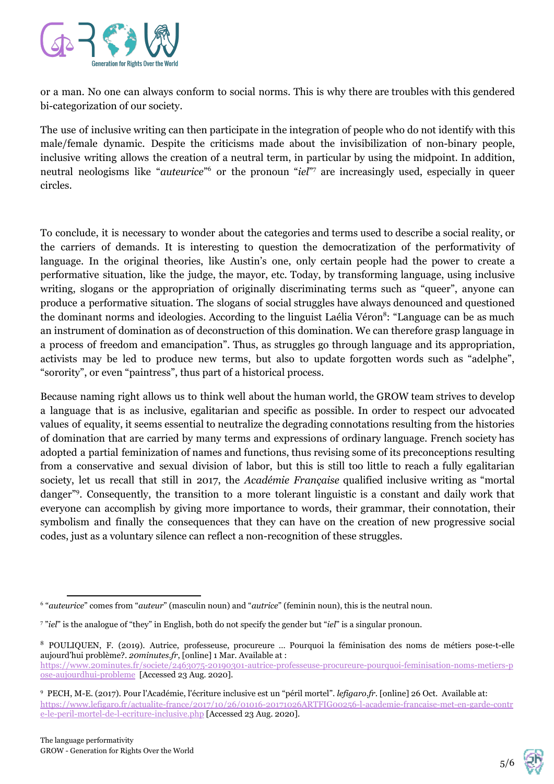

or a man. No one can always conform to social norms. This is why there are troubles with this gendered bi-categorization of our society.

The use of inclusive writing can then participate in the integration of people who do not identify with this male/female dynamic. Despite the criticisms made about the invisibilization of non-binary people, inclusive writing allows the creation of a neutral term, in particular by using the midpoint. In addition, neutral neologisms like "*auteurice*"<sup>6</sup> or the pronoun "*iel*"<sup>7</sup> are increasingly used, especially in queer circles.

To conclude, it is necessary to wonder about the categories and terms used to describe a social reality, or the carriers of demands. It is interesting to question the democratization of the performativity of language. In the original theories, like Austin's one, only certain people had the power to create a performative situation, like the judge, the mayor, etc. Today, by transforming language, using inclusive writing, slogans or the appropriation of originally discriminating terms such as "queer", anyone can produce a performative situation. The slogans of social struggles have always denounced and questioned the dominant norms and ideologies. According to the linguist Laélia Véron<sup>8</sup>: "Language can be as much an instrument of domination as of deconstruction of this domination. We can therefore grasp language in a process of freedom and emancipation". Thus, as struggles go through language and its appropriation, activists may be led to produce new terms, but also to update forgotten words such as "adelphe", "sorority", or even "paintress", thus part of a historical process.

Because naming right allows us to think well about the human world, the GROW team strives to develop a language that is as inclusive, egalitarian and specific as possible. In order to respect our advocated values of equality, it seems essential to neutralize the degrading connotations resulting from the histories of domination that are carried by many terms and expressions of ordinary language. French society has adopted a partial feminization of names and functions, thus revising some of its preconceptions resulting from a conservative and sexual division of labor, but this is still too little to reach a fully egalitarian society, let us recall that still in 2017, the *Académie Française* qualified inclusive writing as "mortal danger"<sup>9</sup>. Consequently, the transition to a more tolerant linguistic is a constant and daily work that everyone can accomplish by giving more importance to words, their grammar, their connotation, their symbolism and finally the consequences that they can have on the creation of new progressive social codes, just as a voluntary silence can reflect a non-recognition of these struggles.



<sup>6</sup> "*auteurice*" comes from "*auteur*" (masculin noun) and "*autrice*" (feminin noun), this is the neutral noun.

<sup>7</sup> "*iel*" is the analogue of "they" in English, both do not specify the gender but "*iel*" is a singular pronoun.

<sup>8</sup> POULIQUEN, F. (2019). Autrice, professeuse, procureure … Pourquoi la féminisation des noms de métiers pose-t-elle aujourd'hui problème?. *20minutes.fr*, [online] 1 Mar. Available at : [https://www.20minutes.fr/societe/2463075-20190301-autrice-professeuse-procureure-pourquoi-feminisation-noms-metiers-p](https://www.20minutes.fr/societe/2463075-20190301-autrice-professeuse-procureure-pourquoi-feminisation-noms-metiers-pose-aujourdhui-probleme) [ose-aujourdhui-probleme](https://www.20minutes.fr/societe/2463075-20190301-autrice-professeuse-procureure-pourquoi-feminisation-noms-metiers-pose-aujourdhui-probleme) [Accessed 23 Aug. 2020].

<sup>9</sup> PECH, M-E. (2017). Pour l'Académie, l'écriture inclusive est un "péril mortel". *lefigaro.fr*. [online] 26 Oct. Available at: [https://www.lefigaro.fr/actualite-france/2017/10/26/01016-20171026ARTFIG00256-l-academie-francaise-met-en-garde-contr](https://www.lefigaro.fr/actualite-france/2017/10/26/01016-20171026ARTFIG00256-l-academie-francaise-met-en-garde-contre-le-peril-mortel-de-l-ecriture-inclusive.php) [e-le-peril-mortel-de-l-ecriture-inclusive.php](https://www.lefigaro.fr/actualite-france/2017/10/26/01016-20171026ARTFIG00256-l-academie-francaise-met-en-garde-contre-le-peril-mortel-de-l-ecriture-inclusive.php) [Accessed 23 Aug. 2020].